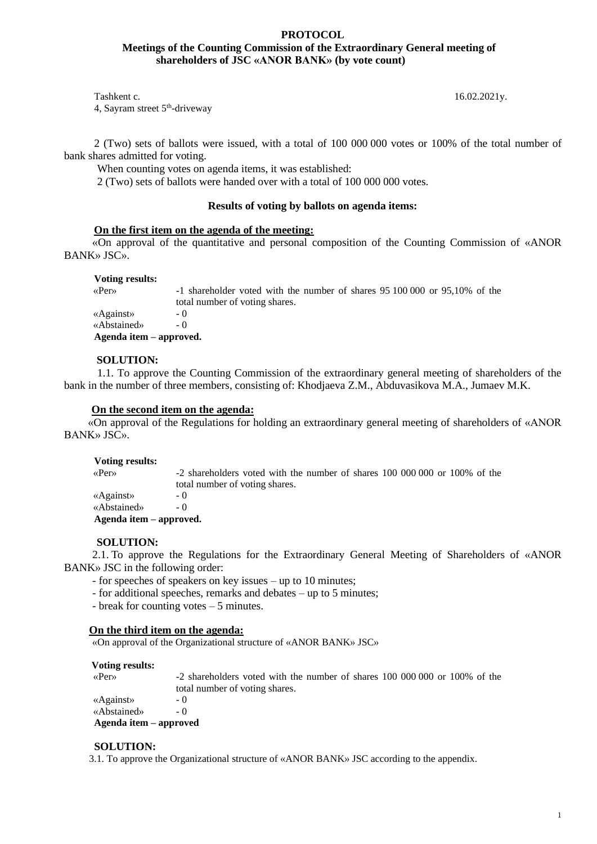### **PROTOCOL Meetings of the Counting Commission of the Extraordinary General meeting of shareholders of JSC «ANOR BANK» (by vote count)**

Tashkent c. 16.02.2021y. 4, Sayram street 5<sup>th</sup>-driveway

2 (Two) sets of ballots were issued, with a total of 100 000 000 votes or 100% of the total number of bank shares admitted for voting.

When counting votes on agenda items, it was established:

2 (Two) sets of ballots were handed over with a total of 100 000 000 votes.

### **Results of voting by ballots on agenda items:**

### **On the first item on the agenda of the meeting:**

«On approval of the quantitative and personal composition of the Counting Commission of «ANOR BANK» JSC».

#### **Voting results:**

 «Per» -1 shareholder voted with the number of shares 95 100 000 or 95,10% of the total number of voting shares. «Against» - 0 «Abstained» - 0  **Agenda item – approved.**

### **SOLUTION:**

 1.1. To approve the Counting Commission of the extraordinary general meeting of shareholders of the bank in the number of three members, consisting of: Khodjaeva Z.M., Abduvasikova M.A., Jumaev M.K.

#### **On the second item on the agenda:**

«On approval of the Regulations for holding an extraordinary general meeting of shareholders of «ANOR BANK» JSC».

#### **Voting results:**

 «Per» -2 shareholders voted with the number of shares 100 000 000 or 100% of the total number of voting shares. «Against» - 0 «Abstained» - 0  **Agenda item – approved.**

#### **SOLUTION:**

2.1. To approve the Regulations for the Extraordinary General Meeting of Shareholders of «ANOR BANK» JSC in the following order:

- for speeches of speakers on key issues – up to 10 minutes;

- for additional speeches, remarks and debates – up to 5 minutes;

- break for counting votes – 5 minutes.

### **On the third item on the agenda:**

«On approval of the Organizational structure of «ANOR BANK» JSC»

#### **Voting results:**

| $\langle$ Per $\rangle$ | -2 shareholders voted with the number of shares 100 000 000 or 100% of the |
|-------------------------|----------------------------------------------------------------------------|
|                         | total number of voting shares.                                             |
| «Against»               | $-$ ()                                                                     |
| «Abstained»             | $-()$                                                                      |

 **Agenda item – approved**

#### **SOLUTION:**

3.1. To approve the Organizational structure of «ANOR BANK» JSC according to the appendix.